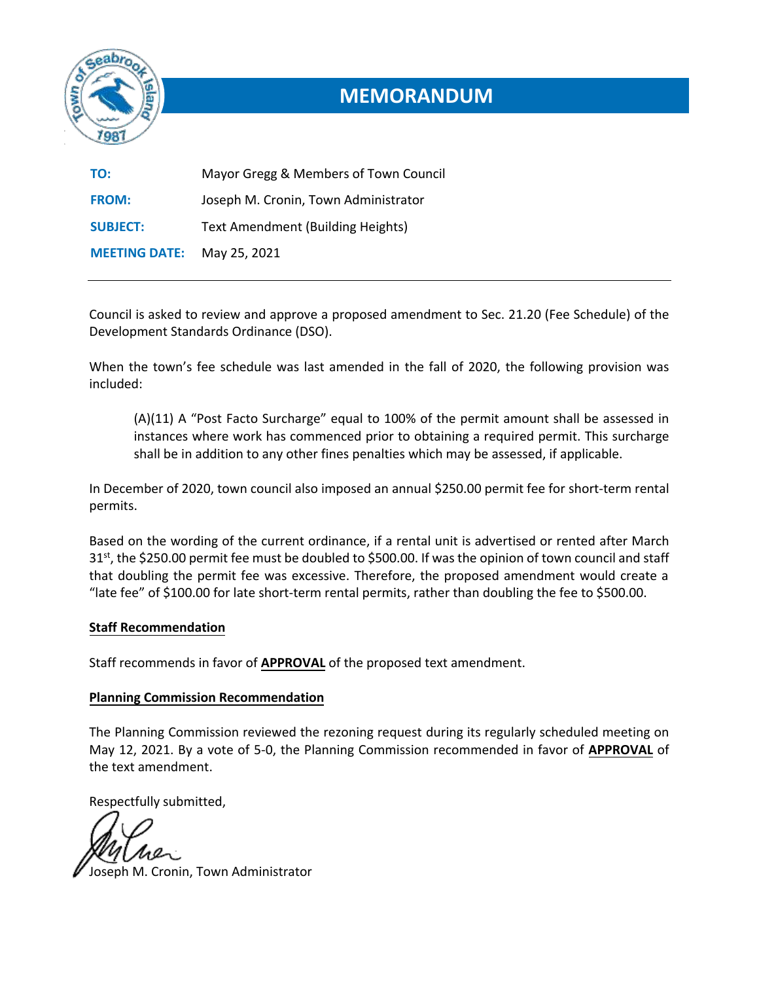

# **MEMORANDUM**

| TO:                  | Mayor Gregg & Members of Town Council |
|----------------------|---------------------------------------|
| <b>FROM:</b>         | Joseph M. Cronin, Town Administrator  |
| <b>SUBJECT:</b>      | Text Amendment (Building Heights)     |
| <b>MEETING DATE:</b> | May 25, 2021                          |

Council is asked to review and approve a proposed amendment to Sec. 21.20 (Fee Schedule) of the Development Standards Ordinance (DSO).

When the town's fee schedule was last amended in the fall of 2020, the following provision was included:

(A)(11) A "Post Facto Surcharge" equal to 100% of the permit amount shall be assessed in instances where work has commenced prior to obtaining a required permit. This surcharge shall be in addition to any other fines penalties which may be assessed, if applicable.

In December of 2020, town council also imposed an annual \$250.00 permit fee for short-term rental permits.

Based on the wording of the current ordinance, if a rental unit is advertised or rented after March  $31<sup>st</sup>$ , the \$250.00 permit fee must be doubled to \$500.00. If was the opinion of town council and staff that doubling the permit fee was excessive. Therefore, the proposed amendment would create a "late fee" of \$100.00 for late short-term rental permits, rather than doubling the fee to \$500.00.

## **Staff Recommendation**

Staff recommends in favor of **APPROVAL** of the proposed text amendment.

## **Planning Commission Recommendation**

The Planning Commission reviewed the rezoning request during its regularly scheduled meeting on May 12, 2021. By a vote of 5-0, the Planning Commission recommended in favor of **APPROVAL** of the text amendment.

Respectfully submitted,

Joseph M. Cronin, Town Administrator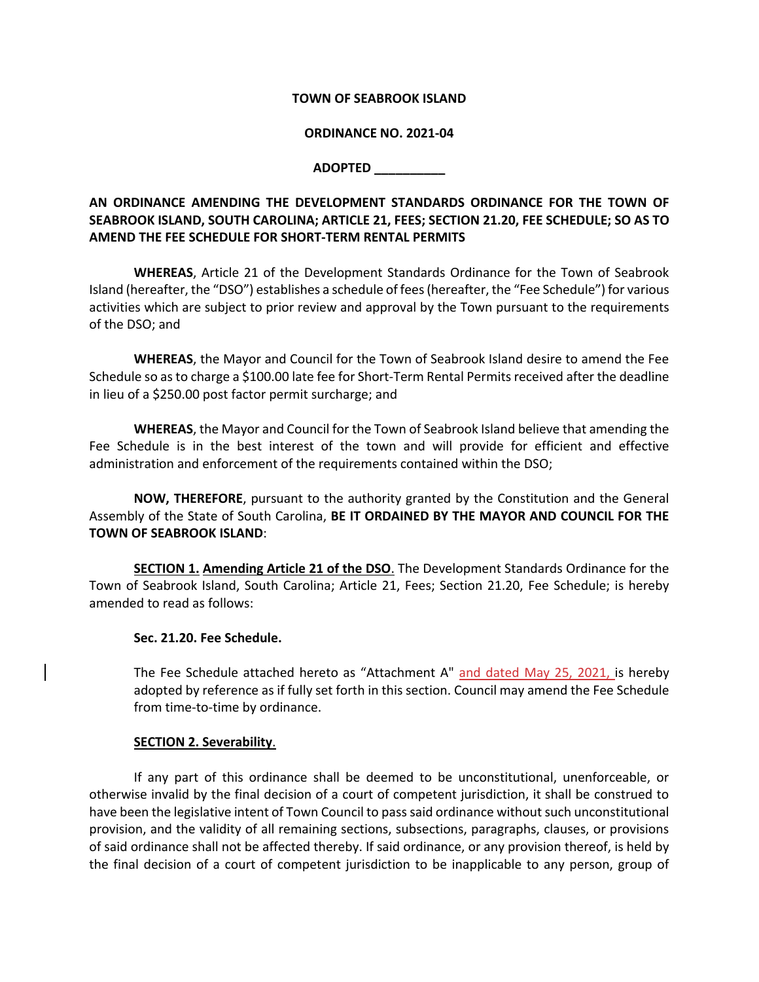#### **TOWN OF SEABROOK ISLAND**

#### **ORDINANCE NO. 2021-04**

### **ADOPTED \_\_\_\_\_\_\_\_\_\_**

## **AN ORDINANCE AMENDING THE DEVELOPMENT STANDARDS ORDINANCE FOR THE TOWN OF SEABROOK ISLAND, SOUTH CAROLINA; ARTICLE 21, FEES; SECTION 21.20, FEE SCHEDULE; SO AS TO AMEND THE FEE SCHEDULE FOR SHORT-TERM RENTAL PERMITS**

**WHEREAS**, Article 21 of the Development Standards Ordinance for the Town of Seabrook Island (hereafter, the "DSO") establishes a schedule of fees (hereafter, the "Fee Schedule") for various activities which are subject to prior review and approval by the Town pursuant to the requirements of the DSO; and

**WHEREAS**, the Mayor and Council for the Town of Seabrook Island desire to amend the Fee Schedule so as to charge a \$100.00 late fee for Short-Term Rental Permits received after the deadline in lieu of a \$250.00 post factor permit surcharge; and

**WHEREAS**, the Mayor and Council for the Town of Seabrook Island believe that amending the Fee Schedule is in the best interest of the town and will provide for efficient and effective administration and enforcement of the requirements contained within the DSO;

**NOW, THEREFORE**, pursuant to the authority granted by the Constitution and the General Assembly of the State of South Carolina, **BE IT ORDAINED BY THE MAYOR AND COUNCIL FOR THE TOWN OF SEABROOK ISLAND**:

**SECTION 1. Amending Article 21 of the DSO**. The Development Standards Ordinance for the Town of Seabrook Island, South Carolina; Article 21, Fees; Section 21.20, Fee Schedule; is hereby amended to read as follows:

#### **Sec. 21.20. Fee Schedule.**

The Fee Schedule attached hereto as "Attachment A" and dated May 25, 2021, is hereby adopted by reference as if fully set forth in this section. Council may amend the Fee Schedule from time-to-time by ordinance.

## **SECTION 2. Severability**.

If any part of this ordinance shall be deemed to be unconstitutional, unenforceable, or otherwise invalid by the final decision of a court of competent jurisdiction, it shall be construed to have been the legislative intent of Town Council to pass said ordinance without such unconstitutional provision, and the validity of all remaining sections, subsections, paragraphs, clauses, or provisions of said ordinance shall not be affected thereby. If said ordinance, or any provision thereof, is held by the final decision of a court of competent jurisdiction to be inapplicable to any person, group of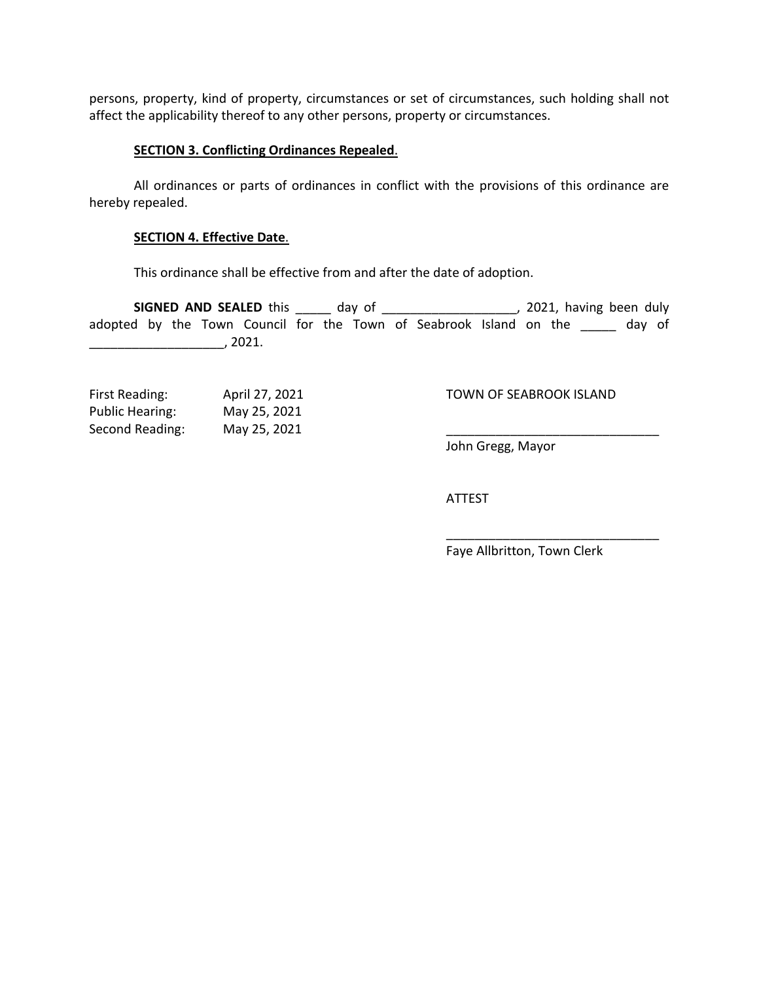persons, property, kind of property, circumstances or set of circumstances, such holding shall not affect the applicability thereof to any other persons, property or circumstances.

#### **SECTION 3. Conflicting Ordinances Repealed**.

All ordinances or parts of ordinances in conflict with the provisions of this ordinance are hereby repealed.

#### **SECTION 4. Effective Date**.

This ordinance shall be effective from and after the date of adoption.

**SIGNED AND SEALED** this \_\_\_\_\_ day of \_\_\_\_\_\_\_\_\_\_\_\_\_\_\_\_\_\_, 2021, having been duly adopted by the Town Council for the Town of Seabrook Island on the \_\_\_\_\_ day of \_\_\_\_\_\_\_\_\_\_\_\_\_\_\_\_\_\_\_, 2021.

| First Reading:         | April 27, 2021 | TOWN OF SEABROOK ISLAND |
|------------------------|----------------|-------------------------|
| <b>Public Hearing:</b> | May 25, 2021   |                         |
| Second Reading:        | May 25, 2021   |                         |

#### TOWN OF SEABROOK ISLAND

John Gregg, Mayor

ATTEST

Faye Allbritton, Town Clerk

\_\_\_\_\_\_\_\_\_\_\_\_\_\_\_\_\_\_\_\_\_\_\_\_\_\_\_\_\_\_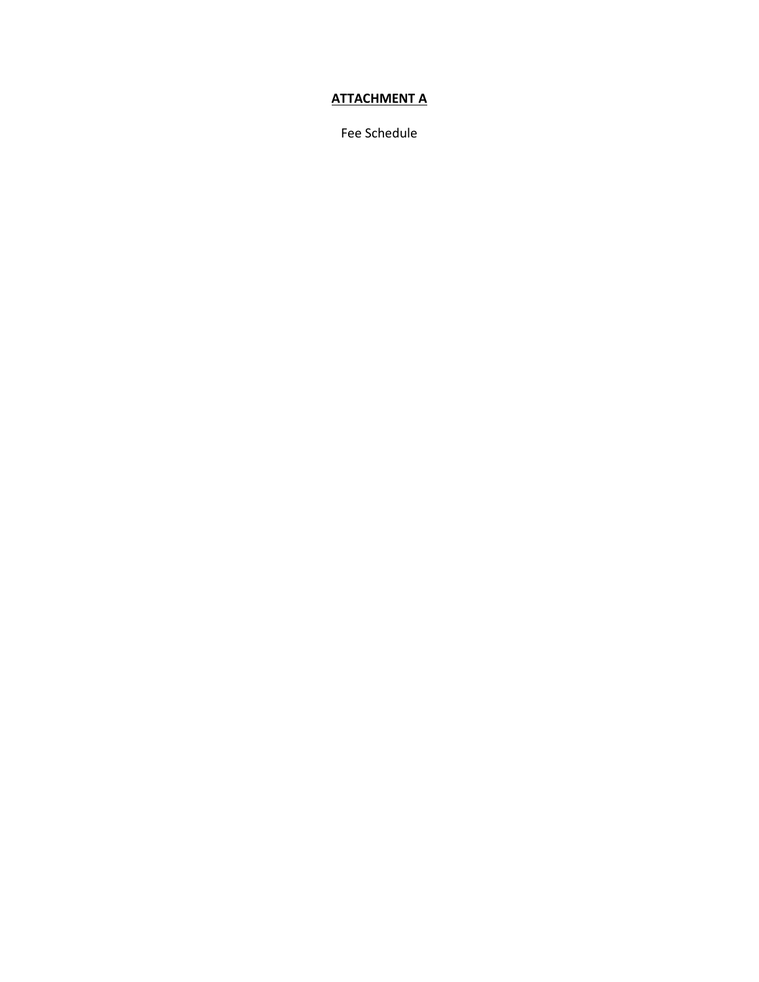## **ATTACHMENT A**

Fee Schedule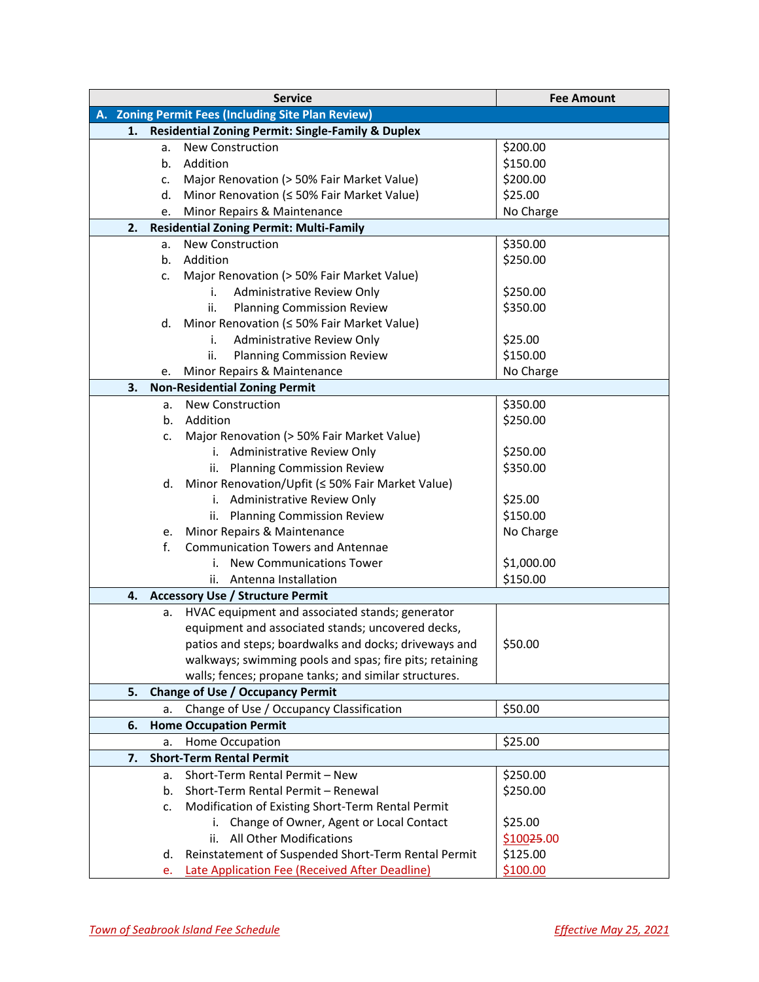| <b>Service</b>                                     |    |                                                                                 | <b>Fee Amount</b>     |  |
|----------------------------------------------------|----|---------------------------------------------------------------------------------|-----------------------|--|
| A. Zoning Permit Fees (Including Site Plan Review) |    |                                                                                 |                       |  |
| 1.                                                 |    | <b>Residential Zoning Permit: Single-Family &amp; Duplex</b>                    |                       |  |
|                                                    | a. | <b>New Construction</b>                                                         | \$200.00              |  |
|                                                    | b. | Addition                                                                        | \$150.00              |  |
|                                                    | c. | Major Renovation (> 50% Fair Market Value)                                      | \$200.00              |  |
|                                                    | d. | Minor Renovation (≤ 50% Fair Market Value)                                      | \$25.00               |  |
|                                                    | е. | Minor Repairs & Maintenance                                                     | No Charge             |  |
| 2.                                                 |    | <b>Residential Zoning Permit: Multi-Family</b>                                  |                       |  |
|                                                    | a. | <b>New Construction</b>                                                         | \$350.00              |  |
|                                                    | b. | Addition                                                                        | \$250.00              |  |
|                                                    | c. | Major Renovation (> 50% Fair Market Value)                                      |                       |  |
|                                                    |    | Administrative Review Only<br>i.                                                | \$250.00              |  |
|                                                    |    | ii.<br><b>Planning Commission Review</b>                                        | \$350.00              |  |
|                                                    | d. | Minor Renovation (≤ 50% Fair Market Value)                                      |                       |  |
|                                                    |    | Administrative Review Only<br>i.                                                | \$25.00               |  |
|                                                    |    | ii.<br><b>Planning Commission Review</b>                                        | \$150.00              |  |
|                                                    | е. | Minor Repairs & Maintenance                                                     | No Charge             |  |
| 3.                                                 |    | <b>Non-Residential Zoning Permit</b>                                            |                       |  |
|                                                    | a. | <b>New Construction</b>                                                         | \$350.00              |  |
|                                                    | b. | Addition                                                                        | \$250.00              |  |
|                                                    | c. | Major Renovation (> 50% Fair Market Value)                                      |                       |  |
|                                                    |    | i. Administrative Review Only                                                   | \$250.00              |  |
|                                                    |    | <b>Planning Commission Review</b><br>ii.                                        | \$350.00              |  |
|                                                    | d. | Minor Renovation/Upfit (≤ 50% Fair Market Value)                                |                       |  |
|                                                    |    | i. Administrative Review Only                                                   | \$25.00               |  |
|                                                    |    | <b>Planning Commission Review</b><br>ii.                                        | \$150.00              |  |
|                                                    | e. | Minor Repairs & Maintenance                                                     | No Charge             |  |
|                                                    | f. | <b>Communication Towers and Antennae</b>                                        |                       |  |
|                                                    |    | <b>New Communications Tower</b><br>i.                                           | \$1,000.00            |  |
|                                                    |    | Antenna Installation<br>ii.                                                     | \$150.00              |  |
| 4.                                                 |    | <b>Accessory Use / Structure Permit</b>                                         |                       |  |
|                                                    | a. | HVAC equipment and associated stands; generator                                 |                       |  |
|                                                    |    | equipment and associated stands; uncovered decks,                               |                       |  |
|                                                    |    | patios and steps; boardwalks and docks; driveways and                           | \$50.00               |  |
|                                                    |    | walkways; swimming pools and spas; fire pits; retaining                         |                       |  |
|                                                    |    | walls; fences; propane tanks; and similar structures.                           |                       |  |
| 5.                                                 |    | <b>Change of Use / Occupancy Permit</b>                                         |                       |  |
|                                                    | a. | Change of Use / Occupancy Classification                                        | \$50.00               |  |
| 6.                                                 |    | <b>Home Occupation Permit</b>                                                   |                       |  |
|                                                    | a. | Home Occupation                                                                 | \$25.00               |  |
| 7.                                                 |    | <b>Short-Term Rental Permit</b><br>Short-Term Rental Permit - New               |                       |  |
|                                                    | a. |                                                                                 | \$250.00              |  |
|                                                    | b. | Short-Term Rental Permit - Renewal                                              | \$250.00              |  |
|                                                    | c. | Modification of Existing Short-Term Rental Permit                               |                       |  |
|                                                    |    | Change of Owner, Agent or Local Contact<br>i.<br>All Other Modifications<br>ii. | \$25.00<br>\$10025.00 |  |
|                                                    |    |                                                                                 | \$125.00              |  |
|                                                    | d. | Reinstatement of Suspended Short-Term Rental Permit                             |                       |  |
|                                                    | e. | Late Application Fee (Received After Deadline)                                  | \$100.00              |  |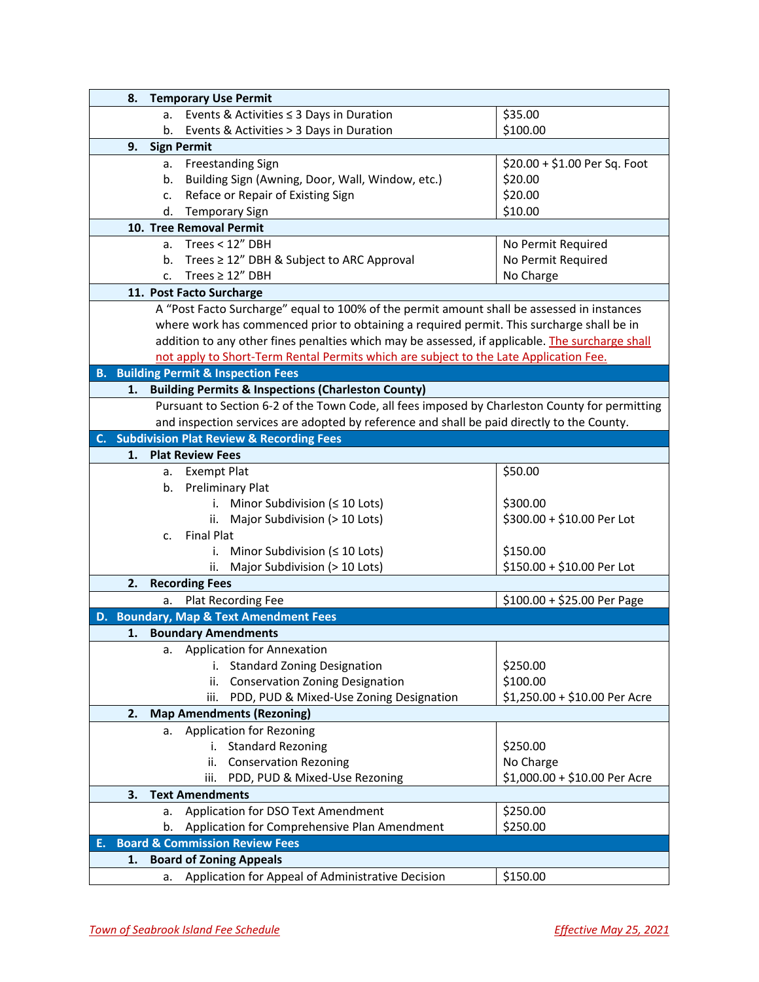| 8.                                        | <b>Temporary Use Permit</b> |                                                                                                 |                               |  |  |
|-------------------------------------------|-----------------------------|-------------------------------------------------------------------------------------------------|-------------------------------|--|--|
|                                           | a.                          | Events & Activities $\leq$ 3 Days in Duration                                                   | \$35.00                       |  |  |
|                                           | b.                          | Events & Activities > 3 Days in Duration                                                        | \$100.00                      |  |  |
| 9.                                        | <b>Sign Permit</b>          |                                                                                                 |                               |  |  |
|                                           | a.                          | Freestanding Sign                                                                               | \$20.00 + \$1.00 Per Sq. Foot |  |  |
|                                           | b.                          | Building Sign (Awning, Door, Wall, Window, etc.)                                                | \$20.00                       |  |  |
|                                           | c.                          | Reface or Repair of Existing Sign                                                               | \$20.00                       |  |  |
|                                           | d.                          | <b>Temporary Sign</b>                                                                           | \$10.00                       |  |  |
|                                           |                             | 10. Tree Removal Permit                                                                         |                               |  |  |
|                                           |                             | a. Trees $< 12"$ DBH                                                                            | No Permit Required            |  |  |
|                                           | b.                          | Trees ≥ 12" DBH & Subject to ARC Approval                                                       | No Permit Required            |  |  |
|                                           | c.                          | Trees $\geq 12''$ DBH                                                                           | No Charge                     |  |  |
|                                           |                             | 11. Post Facto Surcharge                                                                        |                               |  |  |
|                                           |                             | A "Post Facto Surcharge" equal to 100% of the permit amount shall be assessed in instances      |                               |  |  |
|                                           |                             | where work has commenced prior to obtaining a required permit. This surcharge shall be in       |                               |  |  |
|                                           |                             | addition to any other fines penalties which may be assessed, if applicable. The surcharge shall |                               |  |  |
|                                           |                             | not apply to Short-Term Rental Permits which are subject to the Late Application Fee.           |                               |  |  |
|                                           |                             | <b>B.</b> Building Permit & Inspection Fees                                                     |                               |  |  |
| 1.                                        |                             | <b>Building Permits &amp; Inspections (Charleston County)</b>                                   |                               |  |  |
|                                           |                             | Pursuant to Section 6-2 of the Town Code, all fees imposed by Charleston County for permitting  |                               |  |  |
|                                           |                             | and inspection services are adopted by reference and shall be paid directly to the County.      |                               |  |  |
|                                           |                             | C. Subdivision Plat Review & Recording Fees                                                     |                               |  |  |
| 1.                                        |                             | <b>Plat Review Fees</b>                                                                         |                               |  |  |
|                                           | a.                          | <b>Exempt Plat</b>                                                                              | \$50.00                       |  |  |
|                                           | b.                          | <b>Preliminary Plat</b>                                                                         |                               |  |  |
|                                           |                             | i. Minor Subdivision ( $\leq 10$ Lots)                                                          | \$300.00                      |  |  |
|                                           |                             | ii. Major Subdivision (> 10 Lots)                                                               | \$300.00 + \$10.00 Per Lot    |  |  |
|                                           | c.                          | <b>Final Plat</b>                                                                               |                               |  |  |
|                                           |                             | Minor Subdivision (≤ 10 Lots)<br>i.                                                             | \$150.00                      |  |  |
|                                           |                             | Major Subdivision (> 10 Lots)<br>ii.                                                            | \$150.00 + \$10.00 Per Lot    |  |  |
| 2.                                        |                             | <b>Recording Fees</b>                                                                           |                               |  |  |
|                                           | а.                          | Plat Recording Fee                                                                              | $$100.00 + $25.00$ Per Page   |  |  |
|                                           |                             | D. Boundary, Map & Text Amendment Fees                                                          |                               |  |  |
| 1.                                        |                             | <b>Boundary Amendments</b>                                                                      |                               |  |  |
|                                           | а.                          | Application for Annexation                                                                      |                               |  |  |
|                                           |                             | <b>Standard Zoning Designation</b><br>i.                                                        | \$250.00                      |  |  |
|                                           |                             | <b>Conservation Zoning Designation</b><br>ii.                                                   | \$100.00                      |  |  |
|                                           |                             | PDD, PUD & Mixed-Use Zoning Designation<br>iii.                                                 | \$1,250.00 + \$10.00 Per Acre |  |  |
| 2.                                        |                             | <b>Map Amendments (Rezoning)</b>                                                                |                               |  |  |
|                                           | а.                          | <b>Application for Rezoning</b>                                                                 |                               |  |  |
|                                           |                             | i. Standard Rezoning                                                                            | \$250.00                      |  |  |
|                                           |                             | <b>Conservation Rezoning</b><br>ii.                                                             | No Charge                     |  |  |
|                                           |                             | PDD, PUD & Mixed-Use Rezoning<br>iii.                                                           | \$1,000.00 + \$10.00 Per Acre |  |  |
| 3.                                        |                             | <b>Text Amendments</b>                                                                          |                               |  |  |
|                                           | a.                          | Application for DSO Text Amendment                                                              | \$250.00                      |  |  |
|                                           | b.                          | Application for Comprehensive Plan Amendment                                                    | \$250.00                      |  |  |
| <b>Board &amp; Commission Review Fees</b> |                             |                                                                                                 |                               |  |  |
| 1.                                        |                             | <b>Board of Zoning Appeals</b>                                                                  |                               |  |  |
|                                           | a.                          | Application for Appeal of Administrative Decision                                               | \$150.00                      |  |  |